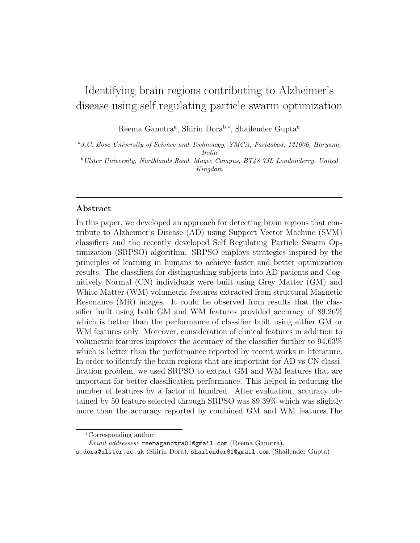# Identifying brain regions contributing to Alzheimer's disease using self regulating particle swarm optimization

Reema Ganotra<sup>a</sup>, Shirin Dora<sup>b,\*</sup>, Shailender Gupta<sup>a</sup>

<sup>a</sup>J.C. Bose University of Science and Technology, YMCA, Faridabad, 121006, Haryana, India

<sup>b</sup>Ulster University, Northlands Road, Magee Campus, BT48 7JL Londonderry, United Kingdom

# Abstract

In this paper, we developed an approach for detecting brain regions that contribute to Alzheimer's Disease (AD) using Support Vector Machine (SVM) classifiers and the recently developed Self Regulating Particle Swarm Optimization (SRPSO) algorithm. SRPSO employs strategies inspired by the principles of learning in humans to achieve faster and better optimization results. The classifiers for distinguishing subjects into AD patients and Cognitively Normal (CN) individuals were built using Grey Matter (GM) and White Matter (WM) volumetric features extracted from structural Magnetic Resonance (MR) images. It could be observed from results that the classifier built using both GM and WM features provided accuracy of 89.26% which is better than the performance of classifier built using either GM or WM features only. Moreover, consideration of clinical features in addition to volumetric features improves the accuracy of the classifier further to 94.63% which is better than the performance reported by recent works in literature. In order to identify the brain regions that are important for AD vs CN classification problem, we used SRPSO to extract GM and WM features that are important for better classification performance. This helped in reducing the number of features by a factor of hundred. After evaluation, accuracy obtained by 50 feature selected through SRPSO was 89.39% which was slightly more than the accuracy reported by combined GM and WM features.The

<sup>∗</sup>Corresponding author

Email addresses: reemaganotra01@gmail.com (Reema Ganotra),

s.dora@ulster.ac.uk (Shirin Dora), shailender81@gmail.com (Shailender Gupta)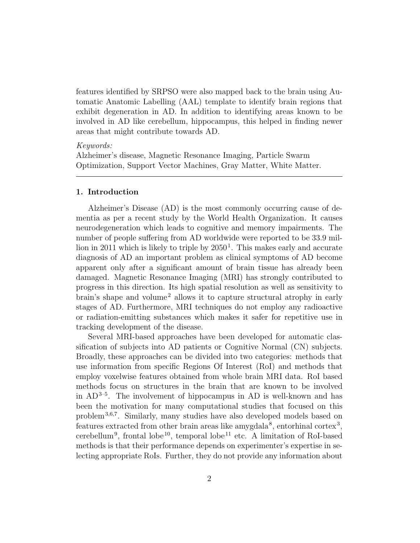features identified by SRPSO were also mapped back to the brain using Automatic Anatomic Labelling (AAL) template to identify brain regions that exhibit degeneration in AD. In addition to identifying areas known to be involved in AD like cerebellum, hippocampus, this helped in finding newer areas that might contribute towards AD.

#### Keywords:

Alzheimer's disease, Magnetic Resonance Imaging, Particle Swarm Optimization, Support Vector Machines, Gray Matter, White Matter.

# 1. Introduction

Alzheimer's Disease (AD) is the most commonly occurring cause of dementia as per a recent study by the World Health Organization. It causes neurodegeneration which leads to cognitive and memory impairments. The number of people suffering from AD worldwide were reported to be 33.9 million in 2011 which is likely to triple by  $2050<sup>1</sup>$ . This makes early and accurate diagnosis of AD an important problem as clinical symptoms of AD become apparent only after a significant amount of brain tissue has already been damaged. Magnetic Resonance Imaging (MRI) has strongly contributed to progress in this direction. Its high spatial resolution as well as sensitivity to brain's shape and volume<sup>2</sup> allows it to capture structural atrophy in early stages of AD. Furthermore, MRI techniques do not employ any radioactive or radiation-emitting substances which makes it safer for repetitive use in tracking development of the disease.

Several MRI-based approaches have been developed for automatic classification of subjects into AD patients or Cognitive Normal (CN) subjects. Broadly, these approaches can be divided into two categories: methods that use information from specific Regions Of Interest (RoI) and methods that employ voxelwise features obtained from whole brain MRI data. RoI based methods focus on structures in the brain that are known to be involved in  $AD^{3-5}$ . The involvement of hippocampus in AD is well-known and has been the motivation for many computational studies that focused on this problem3,6,7. Similarly, many studies have also developed models based on features extracted from other brain areas like amygdala<sup>8</sup>, entorhinal cortex<sup>3</sup>, cerebellum<sup>9</sup>, frontal lobe<sup>10</sup>, temporal lobe<sup>11</sup> etc. A limitation of RoI-based methods is that their performance depends on experimenter's expertise in selecting appropriate RoIs. Further, they do not provide any information about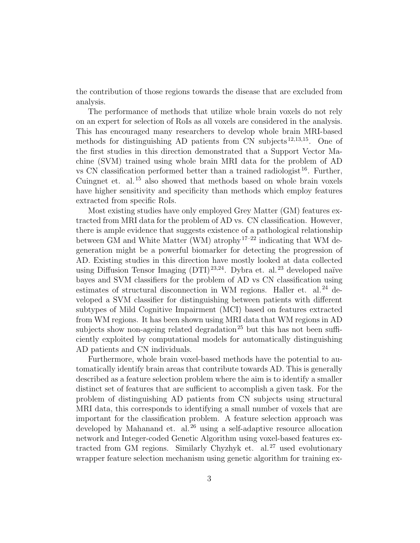the contribution of those regions towards the disease that are excluded from analysis.

The performance of methods that utilize whole brain voxels do not rely on an expert for selection of RoIs as all voxels are considered in the analysis. This has encouraged many researchers to develop whole brain MRI-based methods for distinguishing AD patients from CN subjects 12,13,15. One of the first studies in this direction demonstrated that a Support Vector Machine (SVM) trained using whole brain MRI data for the problem of AD vs CN classification performed better than a trained radiologist  $16$ . Further, Cuingnet et. al.<sup>15</sup> also showed that methods based on whole brain voxels have higher sensitivity and specificity than methods which employ features extracted from specific RoIs.

Most existing studies have only employed Grey Matter (GM) features extracted from MRI data for the problem of AD vs. CN classification. However, there is ample evidence that suggests existence of a pathological relationship between GM and White Matter (WM) atrophy  $17-22$  indicating that WM degeneration might be a powerful biomarker for detecting the progression of AD. Existing studies in this direction have mostly looked at data collected using Diffusion Tensor Imaging  $(DTI)^{23,24}$ . Dybra et. al.<sup>23</sup> developed naïve bayes and SVM classifiers for the problem of AD vs CN classification using estimates of structural disconnection in WM regions. Haller et. al.<sup>24</sup> developed a SVM classifier for distinguishing between patients with different subtypes of Mild Cognitive Impairment (MCI) based on features extracted from WM regions. It has been shown using MRI data that WM regions in AD subjects show non-ageing related degradation<sup>25</sup> but this has not been sufficiently exploited by computational models for automatically distinguishing AD patients and CN individuals.

Furthermore, whole brain voxel-based methods have the potential to automatically identify brain areas that contribute towards AD. This is generally described as a feature selection problem where the aim is to identify a smaller distinct set of features that are sufficient to accomplish a given task. For the problem of distinguishing AD patients from CN subjects using structural MRI data, this corresponds to identifying a small number of voxels that are important for the classification problem. A feature selection approach was developed by Mahanand et. al.<sup>26</sup> using a self-adaptive resource allocation network and Integer-coded Genetic Algorithm using voxel-based features extracted from GM regions. Similarly Chyzhyk et. al.<sup>27</sup> used evolutionary wrapper feature selection mechanism using genetic algorithm for training ex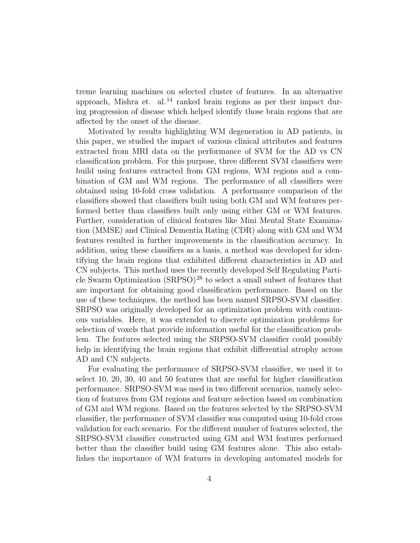treme learning machines on selected cluster of features. In an alternative approach, Mishra et. al.<sup>14</sup> ranked brain regions as per their impact during progression of disease which helped identify those brain regions that are affected by the onset of the disease.

Motivated by results highlighting WM degeneration in AD patients, in this paper, we studied the impact of various clinical attributes and features extracted from MRI data on the performance of SVM for the AD vs CN classification problem. For this purpose, three different SVM classifiers were build using features extracted from GM regions, WM regions and a combination of GM and WM regions. The performance of all classifiers were obtained using 10-fold cross validation. A performance comparison of the classifiers showed that classifiers built using both GM and WM features performed better than classifiers built only using either GM or WM features. Further, consideration of clinical features like Mini Mental State Examination (MMSE) and Clinical Dementia Rating (CDR) along with GM and WM features resulted in further improvements in the classification accuracy. In addition, using these classifiers as a basis, a method was developed for identifying the brain regions that exhibited different characteristics in AD and CN subjects. This method uses the recently developed Self Regulating Particle Swarm Optimization (SRPSO) <sup>28</sup> to select a small subset of features that are important for obtaining good classification performance. Based on the use of these techniques, the method has been named SRPSO-SVM classifier. SRPSO was originally developed for an optimization problem with continuous variables. Here, it was extended to discrete optimization problems for selection of voxels that provide information useful for the classification problem. The features selected using the SRPSO-SVM classifier could possibly help in identifying the brain regions that exhibit differential atrophy across AD and CN subjects.

For evaluating the performance of SRPSO-SVM classifier, we used it to select 10, 20, 30, 40 and 50 features that are useful for higher classification performance. SRPSO-SVM was used in two different scenarios, namely selection of features from GM regions and feature selection based on combination of GM and WM regions. Based on the features selected by the SRPSO-SVM classifier, the performance of SVM classifier was computed using 10-fold cross validation for each scenario. For the different number of features selected, the SRPSO-SVM classifier constructed using GM and WM features performed better than the classifier build using GM features alone. This also establishes the importance of WM features in developing automated models for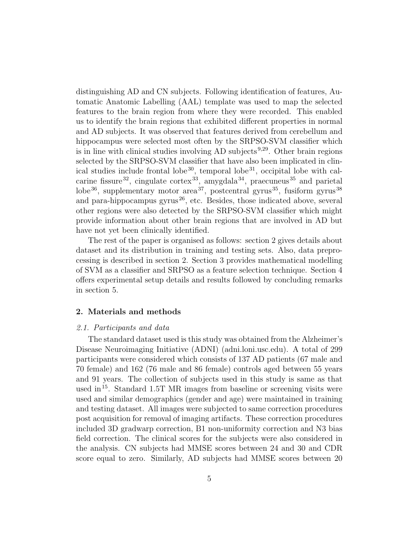distinguishing AD and CN subjects. Following identification of features, Automatic Anatomic Labelling (AAL) template was used to map the selected features to the brain region from where they were recorded. This enabled us to identify the brain regions that exhibited different properties in normal and AD subjects. It was observed that features derived from cerebellum and hippocampus were selected most often by the SRPSO-SVM classifier which is in line with clinical studies involving AD subjects 9,29. Other brain regions selected by the SRPSO-SVM classifier that have also been implicated in clinical studies include frontal lobe<sup>30</sup>, temporal lobe<sup>31</sup>, occipital lobe with calcarine fissure<sup>32</sup>, cingulate cortex<sup>33</sup>, amygdala<sup>34</sup>, praecuneus<sup>35</sup> and parietal lobe<sup>36</sup>, supplementary motor area<sup>37</sup>, postcentral gyrus<sup>35</sup>, fusiform gyrus<sup>38</sup> and para-hippocampus gyrus<sup>26</sup>, etc. Besides, those indicated above, several other regions were also detected by the SRPSO-SVM classifier which might provide information about other brain regions that are involved in AD but have not yet been clinically identified.

The rest of the paper is organised as follows: section 2 gives details about dataset and its distribution in training and testing sets. Also, data preprocessing is described in section 2. Section 3 provides mathematical modelling of SVM as a classifier and SRPSO as a feature selection technique. Section 4 offers experimental setup details and results followed by concluding remarks in section 5.

#### 2. Materials and methods

## 2.1. Participants and data

The standard dataset used is this study was obtained from the Alzheimer's Disease Neuroimaging Initiative (ADNI) (adni.loni.usc.edu). A total of 299 participants were considered which consists of 137 AD patients (67 male and 70 female) and 162 (76 male and 86 female) controls aged between 55 years and 91 years. The collection of subjects used in this study is same as that used in<sup>15</sup>. Standard 1.5T MR images from baseline or screening visits were used and similar demographics (gender and age) were maintained in training and testing dataset. All images were subjected to same correction procedures post acquisition for removal of imaging artifacts. These correction procedures included 3D gradwarp correction, B1 non-uniformity correction and N3 bias field correction. The clinical scores for the subjects were also considered in the analysis. CN subjects had MMSE scores between 24 and 30 and CDR score equal to zero. Similarly, AD subjects had MMSE scores between 20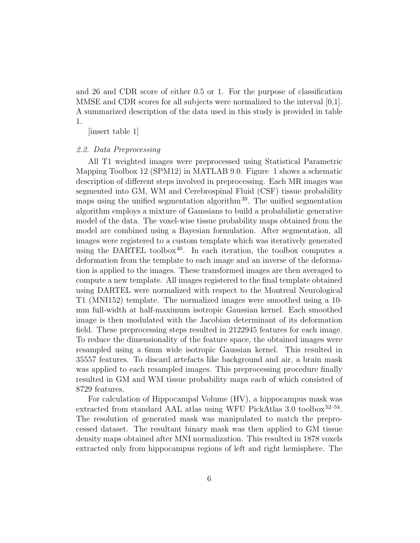and 26 and CDR score of either 0.5 or 1. For the purpose of classification MMSE and CDR scores for all subjects were normalized to the interval [0,1]. A summarized description of the data used in this study is provided in table 1.

[insert table 1]

## 2.2. Data Preprocessing

All T1 weighted images were preprocessed using Statistical Parametric Mapping Toolbox 12 (SPM12) in MATLAB 9.0. Figure 1 shows a schematic description of different steps involved in preprocessing. Each MR images was segmented into GM, WM and Cerebrospinal Fluid (CSF) tissue probability maps using the unified segmentation algorithm<sup>39</sup>. The unified segmentation algorithm employs a mixture of Gaussians to build a probabilistic generative model of the data. The voxel-wise tissue probability maps obtained from the model are combined using a Bayesian formulation. After segmentation, all images were registered to a custom template which was iteratively generated using the DARTEL toolbox<sup>40</sup>. In each iteration, the toolbox computes a deformation from the template to each image and an inverse of the deformation is applied to the images. These transformed images are then averaged to compute a new template. All images registered to the final template obtained using DARTEL were normalized with respect to the Montreal Neurological T1 (MNI152) template. The normalized images were smoothed using a 10 mm full-width at half-maximum isotropic Gaussian kernel. Each smoothed image is then modulated with the Jacobian determinant of its deformation field. These preprocessing steps resulted in 2122945 features for each image. To reduce the dimensionality of the feature space, the obtained images were resampled using a 6mm wide isotropic Gaussian kernel. This resulted in 35557 features. To discard artefacts like background and air, a brain mask was applied to each resampled images. This preprocessing procedure finally resulted in GM and WM tissue probability maps each of which consisted of 8729 features.

For calculation of Hippocampal Volume (HV), a hippocampus mask was extracted from standard AAL atlas using WFU PickAtlas 3.0 toolbox<sup>52-54</sup>. The resolution of generated mask was manipulated to match the preprocessed dataset. The resultant binary mask was then applied to GM tissue density maps obtained after MNI normalization. This resulted in 1878 voxels extracted only from hippocampus regions of left and right hemisphere. The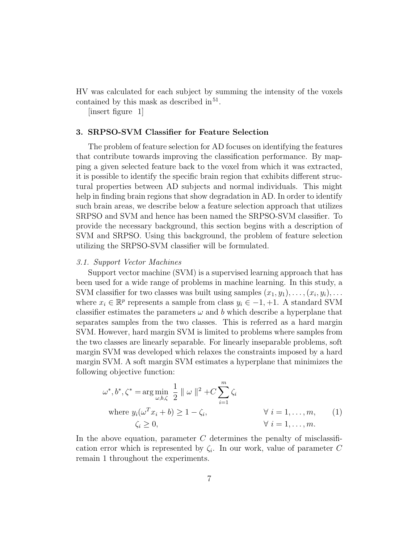HV was calculated for each subject by summing the intensity of the voxels contained by this mask as described in  $51$ .

[insert figure 1]

## 3. SRPSO-SVM Classifier for Feature Selection

The problem of feature selection for AD focuses on identifying the features that contribute towards improving the classification performance. By mapping a given selected feature back to the voxel from which it was extracted, it is possible to identify the specific brain region that exhibits different structural properties between AD subjects and normal individuals. This might help in finding brain regions that show degradation in AD. In order to identify such brain areas, we describe below a feature selection approach that utilizes SRPSO and SVM and hence has been named the SRPSO-SVM classifier. To provide the necessary background, this section begins with a description of SVM and SRPSO. Using this background, the problem of feature selection utilizing the SRPSO-SVM classifier will be formulated.

#### 3.1. Support Vector Machines

Support vector machine (SVM) is a supervised learning approach that has been used for a wide range of problems in machine learning. In this study, a SVM classifier for two classes was built using samples  $(x_1, y_1), \ldots, (x_i, y_i), \ldots$ where  $x_i \in \mathbb{R}^p$  represents a sample from class  $y_i \in -1, +1$ . A standard SVM classifier estimates the parameters  $\omega$  and b which describe a hyperplane that separates samples from the two classes. This is referred as a hard margin SVM. However, hard margin SVM is limited to problems where samples from the two classes are linearly separable. For linearly inseparable problems, soft margin SVM was developed which relaxes the constraints imposed by a hard margin SVM. A soft margin SVM estimates a hyperplane that minimizes the following objective function:

$$
\omega^*, b^*, \zeta^* = \arg\min_{\omega, b, \zeta} \frac{1}{2} \parallel \omega \parallel^2 + C \sum_{i=1}^m \zeta_i
$$
  
where  $y_i(\omega^T x_i + b) \ge 1 - \zeta_i$ ,  $\forall i = 1, ..., m$ , (1)  
 $\zeta_i \ge 0$ ,  $\forall i = 1, ..., m$ .

In the above equation, parameter  $C$  determines the penalty of misclassification error which is represented by  $\zeta_i$ . In our work, value of parameter C remain 1 throughout the experiments.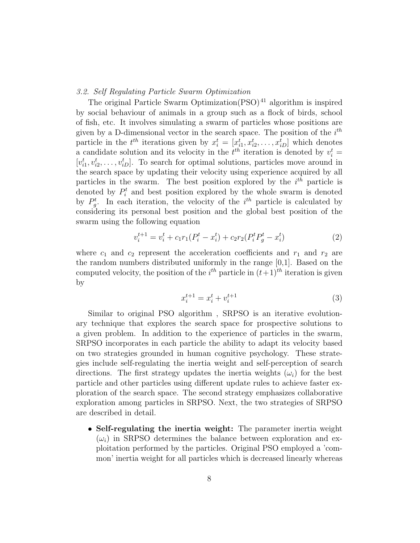# 3.2. Self Regulating Particle Swarm Optimization

The original Particle Swarm Optimization(PSO)<sup>41</sup> algorithm is inspired by social behaviour of animals in a group such as a flock of birds, school of fish, etc. It involves simulating a swarm of particles whose positions are given by a D-dimensional vector in the search space. The position of the  $i^{th}$ particle in the  $t^{th}$  iterations given by  $x_i^t = [x_{i1}^t, x_{i2}^t, \ldots, x_{iD}^t]$  which denotes a candidate solution and its velocity in the  $t^{th}$  iteration is denoted by  $v_i^t =$  $[v_{i1}^t, v_{i2}^t, \ldots, v_{iD}^t]$ . To search for optimal solutions, particles move around in the search space by updating their velocity using experience acquired by all particles in the swarm. The best position explored by the  $i<sup>th</sup>$  particle is denoted by  $P_i^t$  and best position explored by the whole swarm is denoted by  $P_g^t$ . In each iteration, the velocity of the i<sup>th</sup> particle is calculated by considering its personal best position and the global best position of the swarm using the following equation

$$
v_i^{t+1} = v_i^t + c_1 r_1 (P_i^t - x_i^t) + c_2 r_2 (P_i^t P_g^t - x_i^t)
$$
\n<sup>(2)</sup>

where  $c_1$  and  $c_2$  represent the acceleration coefficients and  $r_1$  and  $r_2$  are the random numbers distributed uniformly in the range [0,1]. Based on the computed velocity, the position of the  $i^{th}$  particle in  $(t+1)^{th}$  iteration is given by

$$
x_i^{t+1} = x_i^t + v_i^{t+1} \tag{3}
$$

Similar to original PSO algorithm , SRPSO is an iterative evolutionary technique that explores the search space for prospective solutions to a given problem. In addition to the experience of particles in the swarm, SRPSO incorporates in each particle the ability to adapt its velocity based on two strategies grounded in human cognitive psychology. These strategies include self-regulating the inertia weight and self-perception of search directions. The first strategy updates the inertia weights  $(\omega_i)$  for the best particle and other particles using different update rules to achieve faster exploration of the search space. The second strategy emphasizes collaborative exploration among particles in SRPSO. Next, the two strategies of SRPSO are described in detail.

• Self-regulating the inertia weight: The parameter inertia weight  $(\omega_i)$  in SRPSO determines the balance between exploration and exploitation performed by the particles. Original PSO employed a 'common' inertia weight for all particles which is decreased linearly whereas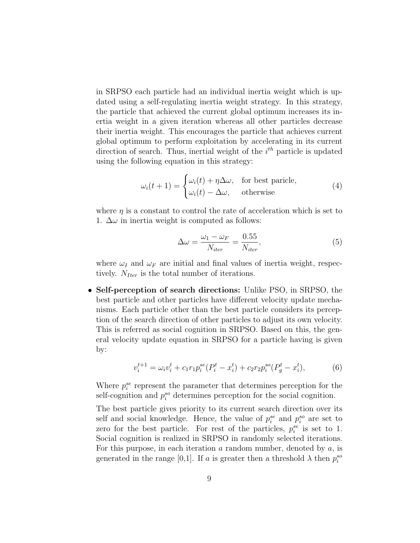in SRPSO each particle had an individual inertia weight which is updated using a self-regulating inertia weight strategy. In this strategy, the particle that achieved the current global optimum increases its inertia weight in a given iteration whereas all other particles decrease their inertia weight. This encourages the particle that achieves current global optimum to perform exploitation by accelerating in its current direction of search. Thus, inertial weight of the  $i<sup>th</sup>$  particle is updated using the following equation in this strategy:

$$
\omega_i(t+1) = \begin{cases} \omega_i(t) + \eta \Delta \omega, & \text{for best particle,} \\ \omega_i(t) - \Delta \omega, & \text{otherwise} \end{cases}
$$
 (4)

where  $\eta$  is a constant to control the rate of acceleration which is set to 1.  $\Delta\omega$  in inertia weight is computed as follows:

$$
\Delta \omega = \frac{\omega_1 - \omega_F}{N_{iter}} = \frac{0.55}{N_{iter}},\tag{5}
$$

where  $\omega_I$  and  $\omega_F$  are initial and final values of inertia weight, respectively.  $N_{Iter}$  is the total number of iterations.

• Self-perception of search directions: Unlike PSO, in SRPSO, the best particle and other particles have different velocity update mechanisms. Each particle other than the best particle considers its perception of the search direction of other particles to adjust its own velocity. This is referred as social cognition in SRPSO. Based on this, the general velocity update equation in SRPSO for a particle having is given by:

$$
v_i^{t+1} = \omega_i v_i^t + c_1 r_1 p_i^{se} (P_i^t - x_i^t) + c_2 r_2 p_i^{so} (P_g^t - x_i^t), \tag{6}
$$

Where  $p_i^{se}$  represent the parameter that determines perception for the self-cognition and  $p_i^{so}$  determines perception for the social cognition.

The best particle gives priority to its current search direction over its self and social knowledge. Hence, the value of  $p_i^{se}$  and  $p_i^{so}$  are set to zero for the best particle. For rest of the particles,  $p_i^{se}$  is set to 1. Social cognition is realized in SRPSO in randomly selected iterations. For this purpose, in each iteration  $a$  random number, denoted by  $a$ , is generated in the range [0,1]. If a is greater then a threshold  $\lambda$  then  $p_i^{so}$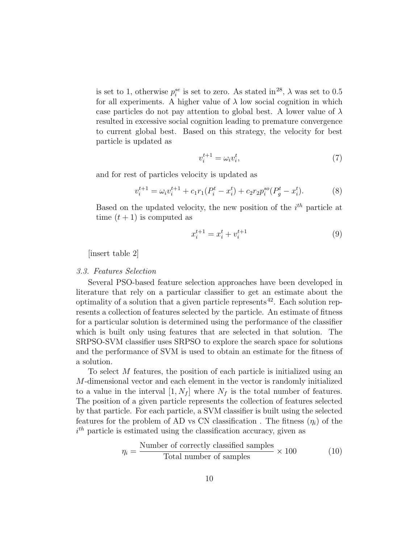is set to 1, otherwise  $p_i^{se}$  is set to zero. As stated in<sup>28</sup>,  $\lambda$  was set to 0.5 for all experiments. A higher value of  $\lambda$  low social cognition in which case particles do not pay attention to global best. A lower value of  $\lambda$ resulted in excessive social cognition leading to premature convergence to current global best. Based on this strategy, the velocity for best particle is updated as

$$
v_i^{t+1} = \omega_i v_i^t,\tag{7}
$$

and for rest of particles velocity is updated as

$$
v_i^{t+1} = \omega_i v_i^{t+1} + c_1 r_1 (P_i^t - x_i^t) + c_2 r_2 p_i^{so} (P_g^t - x_i^t). \tag{8}
$$

Based on the updated velocity, the new position of the  $i<sup>th</sup>$  particle at time  $(t + 1)$  is computed as

$$
x_i^{t+1} = x_i^t + v_i^{t+1} \tag{9}
$$

[insert table 2]

#### 3.3. Features Selection

Several PSO-based feature selection approaches have been developed in literature that rely on a particular classifier to get an estimate about the optimality of a solution that a given particle represents <sup>42</sup>. Each solution represents a collection of features selected by the particle. An estimate of fitness for a particular solution is determined using the performance of the classifier which is built only using features that are selected in that solution. The SRPSO-SVM classifier uses SRPSO to explore the search space for solutions and the performance of SVM is used to obtain an estimate for the fitness of a solution.

To select M features, the position of each particle is initialized using an M-dimensional vector and each element in the vector is randomly initialized to a value in the interval  $[1, N_f]$  where  $N_f$  is the total number of features. The position of a given particle represents the collection of features selected by that particle. For each particle, a SVM classifier is built using the selected features for the problem of AD vs CN classification. The fitness  $(\eta_i)$  of the  $i<sup>th</sup>$  particle is estimated using the classification accuracy, given as

$$
\eta_i = \frac{\text{Number of correctly classified samples}}{\text{Total number of samples}} \times 100 \tag{10}
$$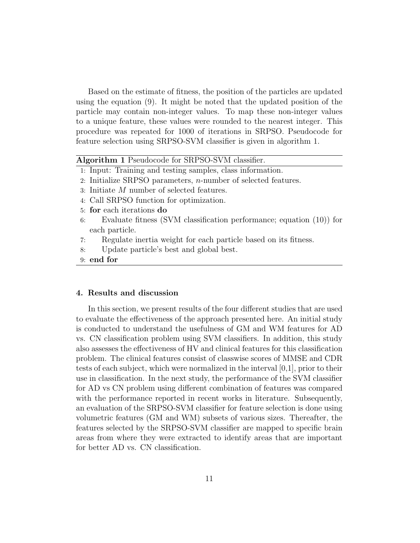Based on the estimate of fitness, the position of the particles are updated using the equation (9). It might be noted that the updated position of the particle may contain non-integer values. To map these non-integer values to a unique feature, these values were rounded to the nearest integer. This procedure was repeated for 1000 of iterations in SRPSO. Pseudocode for feature selection using SRPSO-SVM classifier is given in algorithm 1.

## Algorithm 1 Pseudocode for SRPSO-SVM classifier.

- 1: Input: Training and testing samples, class information.
- 2: Initialize SRPSO parameters, n-number of selected features.
- 3: Initiate M number of selected features.
- 4: Call SRPSO function for optimization.
- 5: for each iterations do
- 6: Evaluate fitness (SVM classification performance; equation (10)) for each particle.
- 7: Regulate inertia weight for each particle based on its fitness.
- 8: Update particle's best and global best.
- 9: end for

#### 4. Results and discussion

In this section, we present results of the four different studies that are used to evaluate the effectiveness of the approach presented here. An initial study is conducted to understand the usefulness of GM and WM features for AD vs. CN classification problem using SVM classifiers. In addition, this study also assesses the effectiveness of HV and clinical features for this classification problem. The clinical features consist of classwise scores of MMSE and CDR tests of each subject, which were normalized in the interval [0,1], prior to their use in classification. In the next study, the performance of the SVM classifier for AD vs CN problem using different combination of features was compared with the performance reported in recent works in literature. Subsequently, an evaluation of the SRPSO-SVM classifier for feature selection is done using volumetric features (GM and WM) subsets of various sizes. Thereafter, the features selected by the SRPSO-SVM classifier are mapped to specific brain areas from where they were extracted to identify areas that are important for better AD vs. CN classification.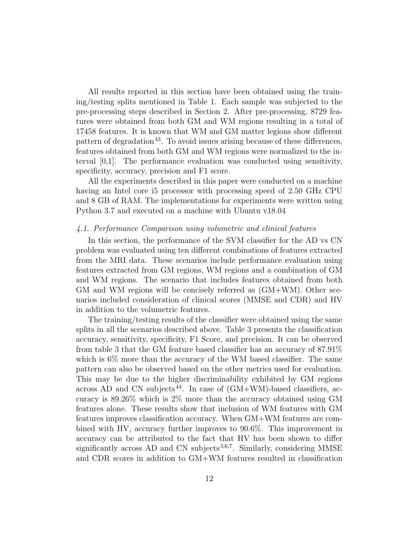All results reported in this section have been obtained using the training/testing splits mentioned in Table 1. Each sample was subjected to the pre-processing steps described in Section 2. After pre-processing, 8729 features were obtained from both GM and WM regions resulting in a total of 17458 features. It is known that WM and GM matter legions show different pattern of degradation<sup>43</sup>. To avoid issues arising because of these differences, features obtained from both GM and WM regions were normalized to the interval [0,1]. The performance evaluation was conducted using sensitivity, specificity, accuracy, precision and F1 score.

All the experiments described in this paper were conducted on a machine having an Intel core i5 processor with processing speed of 2.50 GHz CPU and 8 GB of RAM. The implementations for experiments were written using Python 3.7 and executed on a machine with Ubuntu v18.04

# 4.1. Performance Comparison using volumetric and clinical features

In this section, the performance of the SVM classifier for the AD vs CN problem was evaluated using ten different combinations of features extracted from the MRI data. These scenarios include performance evaluation using features extracted from GM regions, WM regions and a combination of GM and WM regions. The scenario that includes features obtained from both GM and WM regions will be concisely referred as (GM+WM). Other scenarios included consideration of clinical scores (MMSE and CDR) and HV in addition to the volumetric features.

The training/testing results of the classifier were obtained using the same splits in all the scenarios described above. Table 3 presents the classification accuracy, sensitivity, specificity, F1 Score, and precision. It can be observed from table 3 that the GM feature based classifier has an accuracy of 87.91% which is 6% more than the accuracy of the WM based classifier. The same pattern can also be observed based on the other metrics used for evaluation. This may be due to the higher discriminability exhibited by GM regions across AD and CN subjects<sup>44</sup>. In case of  $(GM+WM)$ -based classifiers, accuracy is 89.26% which is 2% more than the accuracy obtained using GM features alone. These results show that inclusion of WM features with GM features improves classification accuracy. When GM+WM features are combined with HV, accuracy further improves to 90.6%. This improvement in accuracy can be attributed to the fact that HV has been shown to differ significantly across AD and CN subjects<sup>3,6,7</sup>. Similarly, considering MMSE and CDR scores in addition to GM+WM features resulted in classification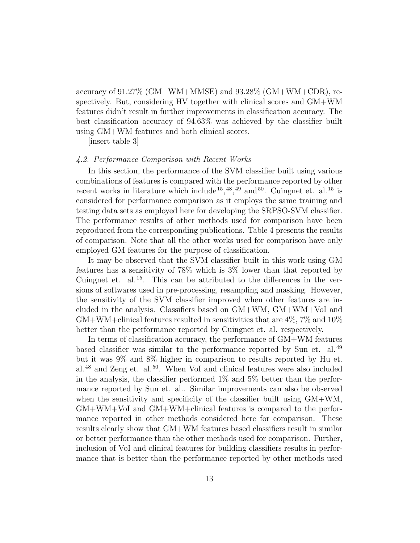accuracy of 91.27% (GM+WM+MMSE) and 93.28% (GM+WM+CDR), respectively. But, considering HV together with clinical scores and GM+WM features didn't result in further improvements in classification accuracy. The best classification accuracy of 94.63% was achieved by the classifier built using GM+WM features and both clinical scores.

[insert table 3]

#### 4.2. Performance Comparison with Recent Works

In this section, the performance of the SVM classifier built using various combinations of features is compared with the performance reported by other recent works in literature which include<sup>15</sup>,<sup>48</sup>,<sup>49</sup> and<sup>50</sup>. Cuingnet et. al.<sup>15</sup> is considered for performance comparison as it employs the same training and testing data sets as employed here for developing the SRPSO-SVM classifier. The performance results of other methods used for comparison have been reproduced from the corresponding publications. Table 4 presents the results of comparison. Note that all the other works used for comparison have only employed GM features for the purpose of classification.

It may be observed that the SVM classifier built in this work using GM features has a sensitivity of 78% which is 3% lower than that reported by Cuingnet et. al.<sup>15</sup>. This can be attributed to the differences in the versions of softwares used in pre-processing, resampling and masking. However, the sensitivity of the SVM classifier improved when other features are included in the analysis. Classifiers based on GM+WM, GM+WM+VoI and  $GM+WM+clinical$  features resulted in sensitivities that are 4\%, 7\% and 10\% better than the performance reported by Cuingnet et. al. respectively.

In terms of classification accuracy, the performance of GM+WM features based classifier was similar to the performance reported by Sun et. al. <sup>49</sup> but it was 9% and 8% higher in comparison to results reported by Hu et. al.<sup>48</sup> and Zeng et. al.<sup>50</sup>. When VoI and clinical features were also included in the analysis, the classifier performed 1% and 5% better than the performance reported by Sun et. al.. Similar improvements can also be observed when the sensitivity and specificity of the classifier built using GM+WM, GM+WM+VoI and GM+WM+clinical features is compared to the performance reported in other methods considered here for comparison. These results clearly show that GM+WM features based classifiers result in similar or better performance than the other methods used for comparison. Further, inclusion of VoI and clinical features for building classifiers results in performance that is better than the performance reported by other methods used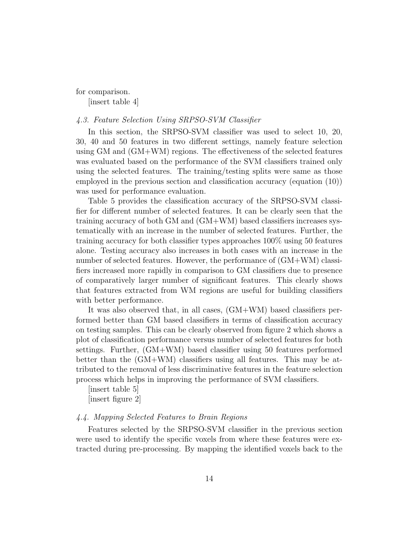for comparison.

[insert table 4]

# 4.3. Feature Selection Using SRPSO-SVM Classifier

In this section, the SRPSO-SVM classifier was used to select 10, 20, 30, 40 and 50 features in two different settings, namely feature selection using  $GM$  and  $(GM+WM)$  regions. The effectiveness of the selected features was evaluated based on the performance of the SVM classifiers trained only using the selected features. The training/testing splits were same as those employed in the previous section and classification accuracy (equation (10)) was used for performance evaluation.

Table 5 provides the classification accuracy of the SRPSO-SVM classifier for different number of selected features. It can be clearly seen that the training accuracy of both GM and (GM+WM) based classifiers increases systematically with an increase in the number of selected features. Further, the training accuracy for both classifier types approaches 100% using 50 features alone. Testing accuracy also increases in both cases with an increase in the number of selected features. However, the performance of (GM+WM) classifiers increased more rapidly in comparison to GM classifiers due to presence of comparatively larger number of significant features. This clearly shows that features extracted from WM regions are useful for building classifiers with better performance.

It was also observed that, in all cases, (GM+WM) based classifiers performed better than GM based classifiers in terms of classification accuracy on testing samples. This can be clearly observed from figure 2 which shows a plot of classification performance versus number of selected features for both settings. Further, (GM+WM) based classifier using 50 features performed better than the (GM+WM) classifiers using all features. This may be attributed to the removal of less discriminative features in the feature selection process which helps in improving the performance of SVM classifiers.

[insert table 5]

[insert figure 2]

# 4.4. Mapping Selected Features to Brain Regions

Features selected by the SRPSO-SVM classifier in the previous section were used to identify the specific voxels from where these features were extracted during pre-processing. By mapping the identified voxels back to the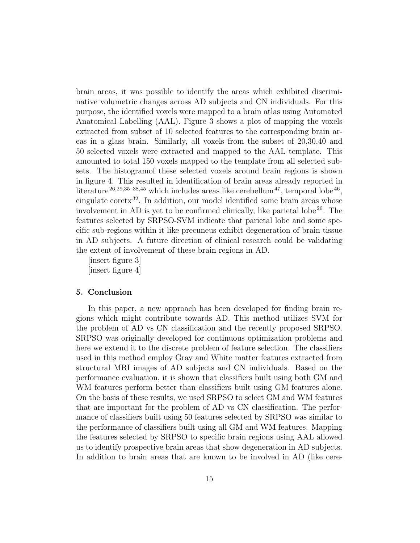brain areas, it was possible to identify the areas which exhibited discriminative volumetric changes across AD subjects and CN individuals. For this purpose, the identified voxels were mapped to a brain atlas using Automated Anatomical Labelling (AAL). Figure 3 shows a plot of mapping the voxels extracted from subset of 10 selected features to the corresponding brain areas in a glass brain. Similarly, all voxels from the subset of 20,30,40 and 50 selected voxels were extracted and mapped to the AAL template. This amounted to total 150 voxels mapped to the template from all selected subsets. The histogramof these selected voxels around brain regions is shown in figure 4. This resulted in identification of brain areas already reported in literature<sup>26,29,35–38,45</sup> which includes areas like cerebellum<sup>47</sup>, temporal lobe<sup>46</sup>, cingulate coretx<sup>32</sup>. In addition, our model identified some brain areas whose involvement in AD is yet to be confirmed clinically, like parietal lobe<sup>26</sup>. The features selected by SRPSO-SVM indicate that parietal lobe and some specific sub-regions within it like precuneus exhibit degeneration of brain tissue in AD subjects. A future direction of clinical research could be validating the extent of involvement of these brain regions in AD.

[insert figure 3] [insert figure 4]

#### 5. Conclusion

In this paper, a new approach has been developed for finding brain regions which might contribute towards AD. This method utilizes SVM for the problem of AD vs CN classification and the recently proposed SRPSO. SRPSO was originally developed for continuous optimization problems and here we extend it to the discrete problem of feature selection. The classifiers used in this method employ Gray and White matter features extracted from structural MRI images of AD subjects and CN individuals. Based on the performance evaluation, it is shown that classifiers built using both GM and WM features perform better than classifiers built using GM features alone. On the basis of these results, we used SRPSO to select GM and WM features that are important for the problem of AD vs CN classification. The performance of classifiers built using 50 features selected by SRPSO was similar to the performance of classifiers built using all GM and WM features. Mapping the features selected by SRPSO to specific brain regions using AAL allowed us to identify prospective brain areas that show degeneration in AD subjects. In addition to brain areas that are known to be involved in AD (like cere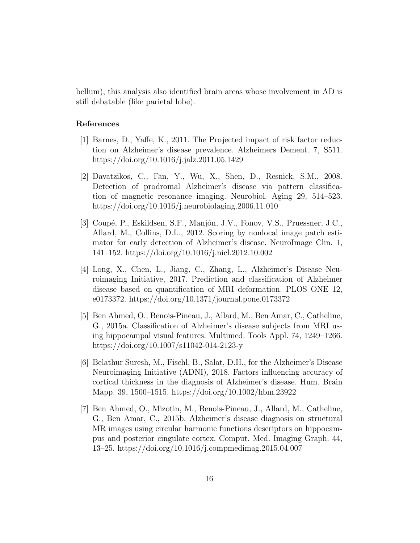bellum), this analysis also identified brain areas whose involvement in AD is still debatable (like parietal lobe).

# References

- [1] Barnes, D., Yaffe, K., 2011. The Projected impact of risk factor reduction on Alzheimer's disease prevalence. Alzheimers Dement. 7, S511. https://doi.org/10.1016/j.jalz.2011.05.1429
- [2] Davatzikos, C., Fan, Y., Wu, X., Shen, D., Resnick, S.M., 2008. Detection of prodromal Alzheimer's disease via pattern classification of magnetic resonance imaging. Neurobiol. Aging 29, 514–523. https://doi.org/10.1016/j.neurobiolaging.2006.11.010
- [3] Coupé, P., Eskildsen, S.F., Manjón, J.V., Fonov, V.S., Pruessner, J.C., Allard, M., Collins, D.L., 2012. Scoring by nonlocal image patch estimator for early detection of Alzheimer's disease. NeuroImage Clin. 1, 141–152. https://doi.org/10.1016/j.nicl.2012.10.002
- [4] Long, X., Chen, L., Jiang, C., Zhang, L., Alzheimer's Disease Neuroimaging Initiative, 2017. Prediction and classification of Alzheimer disease based on quantification of MRI deformation. PLOS ONE 12, e0173372. https://doi.org/10.1371/journal.pone.0173372
- [5] Ben Ahmed, O., Benois-Pineau, J., Allard, M., Ben Amar, C., Catheline, G., 2015a. Classification of Alzheimer's disease subjects from MRI using hippocampal visual features. Multimed. Tools Appl. 74, 1249–1266. https://doi.org/10.1007/s11042-014-2123-y
- [6] Belathur Suresh, M., Fischl, B., Salat, D.H., for the Alzheimer's Disease Neuroimaging Initiative (ADNI), 2018. Factors influencing accuracy of cortical thickness in the diagnosis of Alzheimer's disease. Hum. Brain Mapp. 39, 1500–1515. https://doi.org/10.1002/hbm.23922
- [7] Ben Ahmed, O., Mizotin, M., Benois-Pineau, J., Allard, M., Catheline, G., Ben Amar, C., 2015b. Alzheimer's disease diagnosis on structural MR images using circular harmonic functions descriptors on hippocampus and posterior cingulate cortex. Comput. Med. Imaging Graph. 44, 13–25. https://doi.org/10.1016/j.compmedimag.2015.04.007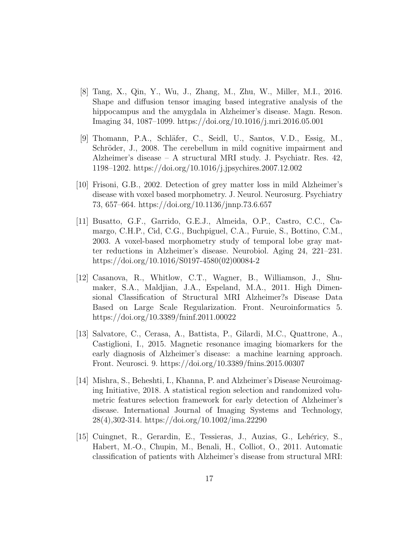- [8] Tang, X., Qin, Y., Wu, J., Zhang, M., Zhu, W., Miller, M.I., 2016. Shape and diffusion tensor imaging based integrative analysis of the hippocampus and the amygdala in Alzheimer's disease. Magn. Reson. Imaging 34, 1087–1099. https://doi.org/10.1016/j.mri.2016.05.001
- [9] Thomann, P.A., Schl¨afer, C., Seidl, U., Santos, V.D., Essig, M., Schröder, J., 2008. The cerebellum in mild cognitive impairment and Alzheimer's disease – A structural MRI study. J. Psychiatr. Res. 42, 1198–1202. https://doi.org/10.1016/j.jpsychires.2007.12.002
- [10] Frisoni, G.B., 2002. Detection of grey matter loss in mild Alzheimer's disease with voxel based morphometry. J. Neurol. Neurosurg. Psychiatry 73, 657–664. https://doi.org/10.1136/jnnp.73.6.657
- [11] Busatto, G.F., Garrido, G.E.J., Almeida, O.P., Castro, C.C., Camargo, C.H.P., Cid, C.G., Buchpiguel, C.A., Furuie, S., Bottino, C.M., 2003. A voxel-based morphometry study of temporal lobe gray matter reductions in Alzheimer's disease. Neurobiol. Aging 24, 221–231. https://doi.org/10.1016/S0197-4580(02)00084-2
- [12] Casanova, R., Whitlow, C.T., Wagner, B., Williamson, J., Shumaker, S.A., Maldjian, J.A., Espeland, M.A., 2011. High Dimensional Classification of Structural MRI Alzheimer?s Disease Data Based on Large Scale Regularization. Front. Neuroinformatics 5. https://doi.org/10.3389/fninf.2011.00022
- [13] Salvatore, C., Cerasa, A., Battista, P., Gilardi, M.C., Quattrone, A., Castiglioni, I., 2015. Magnetic resonance imaging biomarkers for the early diagnosis of Alzheimer's disease: a machine learning approach. Front. Neurosci. 9. https://doi.org/10.3389/fnins.2015.00307
- [14] Mishra, S., Beheshti, I., Khanna, P. and Alzheimer's Disease Neuroimaging Initiative, 2018. A statistical region selection and randomized volumetric features selection framework for early detection of Alzheimer's disease. International Journal of Imaging Systems and Technology, 28(4),302-314. https://doi.org/10.1002/ima.22290
- [15] Cuingnet, R., Gerardin, E., Tessieras, J., Auzias, G., Lehéricy, S., Habert, M.-O., Chupin, M., Benali, H., Colliot, O., 2011. Automatic classification of patients with Alzheimer's disease from structural MRI: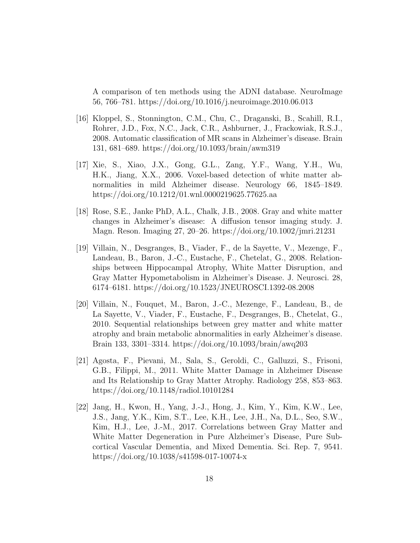A comparison of ten methods using the ADNI database. NeuroImage 56, 766–781. https://doi.org/10.1016/j.neuroimage.2010.06.013

- [16] Kloppel, S., Stonnington, C.M., Chu, C., Draganski, B., Scahill, R.I., Rohrer, J.D., Fox, N.C., Jack, C.R., Ashburner, J., Frackowiak, R.S.J., 2008. Automatic classification of MR scans in Alzheimer's disease. Brain 131, 681–689. https://doi.org/10.1093/brain/awm319
- [17] Xie, S., Xiao, J.X., Gong, G.L., Zang, Y.F., Wang, Y.H., Wu, H.K., Jiang, X.X., 2006. Voxel-based detection of white matter abnormalities in mild Alzheimer disease. Neurology 66, 1845–1849. https://doi.org/10.1212/01.wnl.0000219625.77625.aa
- [18] Rose, S.E., Janke PhD, A.L., Chalk, J.B., 2008. Gray and white matter changes in Alzheimer's disease: A diffusion tensor imaging study. J. Magn. Reson. Imaging 27, 20–26. https://doi.org/10.1002/jmri.21231
- [19] Villain, N., Desgranges, B., Viader, F., de la Sayette, V., Mezenge, F., Landeau, B., Baron, J.-C., Eustache, F., Chetelat, G., 2008. Relationships between Hippocampal Atrophy, White Matter Disruption, and Gray Matter Hypometabolism in Alzheimer's Disease. J. Neurosci. 28, 6174–6181. https://doi.org/10.1523/JNEUROSCI.1392-08.2008
- [20] Villain, N., Fouquet, M., Baron, J.-C., Mezenge, F., Landeau, B., de La Sayette, V., Viader, F., Eustache, F., Desgranges, B., Chetelat, G., 2010. Sequential relationships between grey matter and white matter atrophy and brain metabolic abnormalities in early Alzheimer's disease. Brain 133, 3301–3314. https://doi.org/10.1093/brain/awq203
- [21] Agosta, F., Pievani, M., Sala, S., Geroldi, C., Galluzzi, S., Frisoni, G.B., Filippi, M., 2011. White Matter Damage in Alzheimer Disease and Its Relationship to Gray Matter Atrophy. Radiology 258, 853–863. https://doi.org/10.1148/radiol.10101284
- [22] Jang, H., Kwon, H., Yang, J.-J., Hong, J., Kim, Y., Kim, K.W., Lee, J.S., Jang, Y.K., Kim, S.T., Lee, K.H., Lee, J.H., Na, D.L., Seo, S.W., Kim, H.J., Lee, J.-M., 2017. Correlations between Gray Matter and White Matter Degeneration in Pure Alzheimer's Disease, Pure Subcortical Vascular Dementia, and Mixed Dementia. Sci. Rep. 7, 9541. https://doi.org/10.1038/s41598-017-10074-x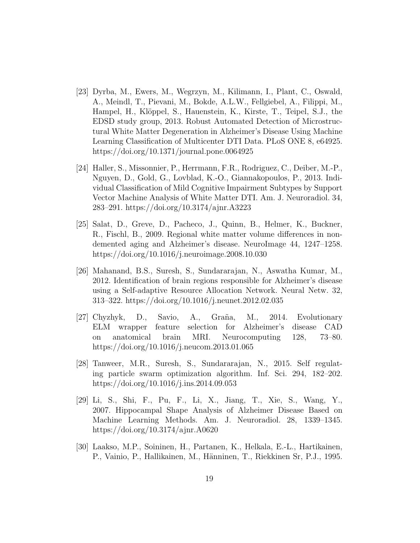- [23] Dyrba, M., Ewers, M., Wegrzyn, M., Kilimann, I., Plant, C., Oswald, A., Meindl, T., Pievani, M., Bokde, A.L.W., Fellgiebel, A., Filippi, M., Hampel, H., Klöppel, S., Hauenstein, K., Kirste, T., Teipel, S.J., the EDSD study group, 2013. Robust Automated Detection of Microstructural White Matter Degeneration in Alzheimer's Disease Using Machine Learning Classification of Multicenter DTI Data. PLoS ONE 8, e64925. https://doi.org/10.1371/journal.pone.0064925
- [24] Haller, S., Missonnier, P., Herrmann, F.R., Rodriguez, C., Deiber, M.-P., Nguyen, D., Gold, G., Lovblad, K.-O., Giannakopoulos, P., 2013. Individual Classification of Mild Cognitive Impairment Subtypes by Support Vector Machine Analysis of White Matter DTI. Am. J. Neuroradiol. 34, 283–291. https://doi.org/10.3174/ajnr.A3223
- [25] Salat, D., Greve, D., Pacheco, J., Quinn, B., Helmer, K., Buckner, R., Fischl, B., 2009. Regional white matter volume differences in nondemented aging and Alzheimer's disease. NeuroImage 44, 1247–1258. https://doi.org/10.1016/j.neuroimage.2008.10.030
- [26] Mahanand, B.S., Suresh, S., Sundararajan, N., Aswatha Kumar, M., 2012. Identification of brain regions responsible for Alzheimer's disease using a Self-adaptive Resource Allocation Network. Neural Netw. 32, 313–322. https://doi.org/10.1016/j.neunet.2012.02.035
- [27] Chyzhyk, D., Savio, A., Graña, M., 2014. Evolutionary ELM wrapper feature selection for Alzheimer's disease CAD on anatomical brain MRI. Neurocomputing 128, 73–80. https://doi.org/10.1016/j.neucom.2013.01.065
- [28] Tanweer, M.R., Suresh, S., Sundararajan, N., 2015. Self regulating particle swarm optimization algorithm. Inf. Sci. 294, 182–202. https://doi.org/10.1016/j.ins.2014.09.053
- [29] Li, S., Shi, F., Pu, F., Li, X., Jiang, T., Xie, S., Wang, Y., 2007. Hippocampal Shape Analysis of Alzheimer Disease Based on Machine Learning Methods. Am. J. Neuroradiol. 28, 1339–1345. https://doi.org/10.3174/ajnr.A0620
- [30] Laakso, M.P., Soininen, H., Partanen, K., Helkala, E.-L., Hartikainen, P., Vainio, P., Hallikainen, M., Hänninen, T., Riekkinen Sr, P.J., 1995.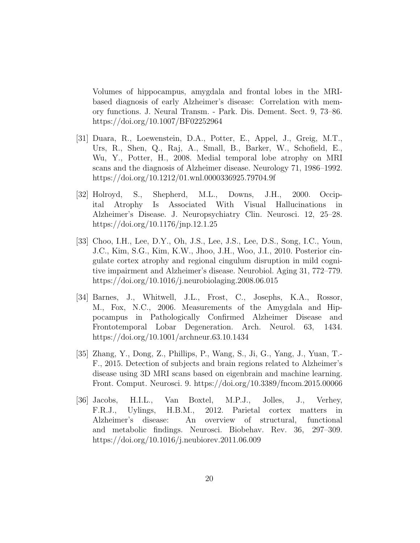Volumes of hippocampus, amygdala and frontal lobes in the MRIbased diagnosis of early Alzheimer's disease: Correlation with memory functions. J. Neural Transm. - Park. Dis. Dement. Sect. 9, 73–86. https://doi.org/10.1007/BF02252964

- [31] Duara, R., Loewenstein, D.A., Potter, E., Appel, J., Greig, M.T., Urs, R., Shen, Q., Raj, A., Small, B., Barker, W., Schofield, E., Wu, Y., Potter, H., 2008. Medial temporal lobe atrophy on MRI scans and the diagnosis of Alzheimer disease. Neurology 71, 1986–1992. https://doi.org/10.1212/01.wnl.0000336925.79704.9f
- [32] Holroyd, S., Shepherd, M.L., Downs, J.H., 2000. Occipital Atrophy Is Associated With Visual Hallucinations in Alzheimer's Disease. J. Neuropsychiatry Clin. Neurosci. 12, 25–28. https://doi.org/10.1176/jnp.12.1.25
- [33] Choo, I.H., Lee, D.Y., Oh, J.S., Lee, J.S., Lee, D.S., Song, I.C., Youn, J.C., Kim, S.G., Kim, K.W., Jhoo, J.H., Woo, J.I., 2010. Posterior cingulate cortex atrophy and regional cingulum disruption in mild cognitive impairment and Alzheimer's disease. Neurobiol. Aging 31, 772–779. https://doi.org/10.1016/j.neurobiolaging.2008.06.015
- [34] Barnes, J., Whitwell, J.L., Frost, C., Josephs, K.A., Rossor, M., Fox, N.C., 2006. Measurements of the Amygdala and Hippocampus in Pathologically Confirmed Alzheimer Disease and Frontotemporal Lobar Degeneration. Arch. Neurol. 63, 1434. https://doi.org/10.1001/archneur.63.10.1434
- [35] Zhang, Y., Dong, Z., Phillips, P., Wang, S., Ji, G., Yang, J., Yuan, T.- F., 2015. Detection of subjects and brain regions related to Alzheimer's disease using 3D MRI scans based on eigenbrain and machine learning. Front. Comput. Neurosci. 9. https://doi.org/10.3389/fncom.2015.00066
- [36] Jacobs, H.I.L., Van Boxtel, M.P.J., Jolles, J., Verhey, F.R.J., Uylings, H.B.M., 2012. Parietal cortex matters in Alzheimer's disease: An overview of structural, functional and metabolic findings. Neurosci. Biobehav. Rev. 36, 297–309. https://doi.org/10.1016/j.neubiorev.2011.06.009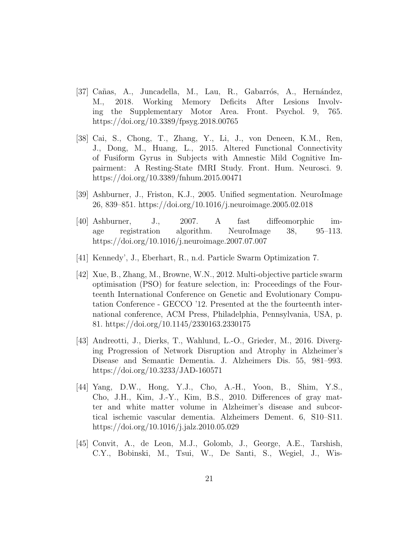- [37] Cañas, A., Juncadella, M., Lau, R., Gabarrós, A., Hernández, M., 2018. Working Memory Deficits After Lesions Involving the Supplementary Motor Area. Front. Psychol. 9, 765. https://doi.org/10.3389/fpsyg.2018.00765
- [38] Cai, S., Chong, T., Zhang, Y., Li, J., von Deneen, K.M., Ren, J., Dong, M., Huang, L., 2015. Altered Functional Connectivity of Fusiform Gyrus in Subjects with Amnestic Mild Cognitive Impairment: A Resting-State fMRI Study. Front. Hum. Neurosci. 9. https://doi.org/10.3389/fnhum.2015.00471
- [39] Ashburner, J., Friston, K.J., 2005. Unified segmentation. NeuroImage 26, 839–851. https://doi.org/10.1016/j.neuroimage.2005.02.018
- [40] Ashburner, J., 2007. A fast diffeomorphic image registration algorithm. NeuroImage 38, 95–113. https://doi.org/10.1016/j.neuroimage.2007.07.007
- [41] Kennedy', J., Eberhart, R., n.d. Particle Swarm Optimization 7.
- [42] Xue, B., Zhang, M., Browne, W.N., 2012. Multi-objective particle swarm optimisation (PSO) for feature selection, in: Proceedings of the Fourteenth International Conference on Genetic and Evolutionary Computation Conference - GECCO '12. Presented at the the fourteenth international conference, ACM Press, Philadelphia, Pennsylvania, USA, p. 81. https://doi.org/10.1145/2330163.2330175
- [43] Andreotti, J., Dierks, T., Wahlund, L.-O., Grieder, M., 2016. Diverging Progression of Network Disruption and Atrophy in Alzheimer's Disease and Semantic Dementia. J. Alzheimers Dis. 55, 981–993. https://doi.org/10.3233/JAD-160571
- [44] Yang, D.W., Hong, Y.J., Cho, A.-H., Yoon, B., Shim, Y.S., Cho, J.H., Kim, J.-Y., Kim, B.S., 2010. Differences of gray matter and white matter volume in Alzheimer's disease and subcortical ischemic vascular dementia. Alzheimers Dement. 6, S10–S11. https://doi.org/10.1016/j.jalz.2010.05.029
- [45] Convit, A., de Leon, M.J., Golomb, J., George, A.E., Tarshish, C.Y., Bobinski, M., Tsui, W., De Santi, S., Wegiel, J., Wis-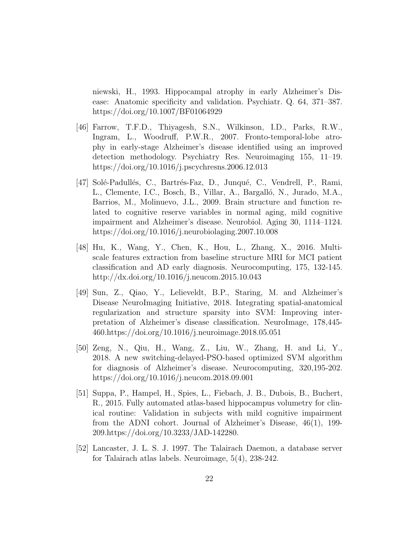niewski, H., 1993. Hippocampal atrophy in early Alzheimer's Disease: Anatomic specificity and validation. Psychiatr. Q. 64, 371–387. https://doi.org/10.1007/BF01064929

- [46] Farrow, T.F.D., Thiyagesh, S.N., Wilkinson, I.D., Parks, R.W., Ingram, L., Woodruff, P.W.R., 2007. Fronto-temporal-lobe atrophy in early-stage Alzheimer's disease identified using an improved detection methodology. Psychiatry Res. Neuroimaging 155, 11–19. https://doi.org/10.1016/j.pscychresns.2006.12.013
- [47] Solé-Padullés, C., Bartrés-Faz, D., Junqué, C., Vendrell, P., Rami, L., Clemente, I.C., Bosch, B., Villar, A., Bargalló, N., Jurado, M.A., Barrios, M., Molinuevo, J.L., 2009. Brain structure and function related to cognitive reserve variables in normal aging, mild cognitive impairment and Alzheimer's disease. Neurobiol. Aging 30, 1114–1124. https://doi.org/10.1016/j.neurobiolaging.2007.10.008
- [48] Hu, K., Wang, Y., Chen, K., Hou, L., Zhang, X., 2016. Multiscale features extraction from baseline structure MRI for MCI patient classification and AD early diagnosis. Neurocomputing, 175, 132-145. http://dx.doi.org/10.1016/j.neucom.2015.10.043
- [49] Sun, Z., Qiao, Y., Lelieveldt, B.P., Staring, M. and Alzheimer's Disease NeuroImaging Initiative, 2018. Integrating spatial-anatomical regularization and structure sparsity into SVM: Improving interpretation of Alzheimer's disease classification. NeuroImage, 178,445- 460.https://doi.org/10.1016/j.neuroimage.2018.05.051
- [50] Zeng, N., Qiu, H., Wang, Z., Liu, W., Zhang, H. and Li, Y., 2018. A new switching-delayed-PSO-based optimized SVM algorithm for diagnosis of Alzheimer's disease. Neurocomputing, 320,195-202. https://doi.org/10.1016/j.neucom.2018.09.001
- [51] Suppa, P., Hampel, H., Spies, L., Fiebach, J. B., Dubois, B., Buchert, R., 2015. Fully automated atlas-based hippocampus volumetry for clinical routine: Validation in subjects with mild cognitive impairment from the ADNI cohort. Journal of Alzheimer's Disease, 46(1), 199- 209.https://doi.org/10.3233/JAD-142280.
- [52] Lancaster, J. L. S. J. 1997. The Talairach Daemon, a database server for Talairach atlas labels. Neuroimage, 5(4), 238-242.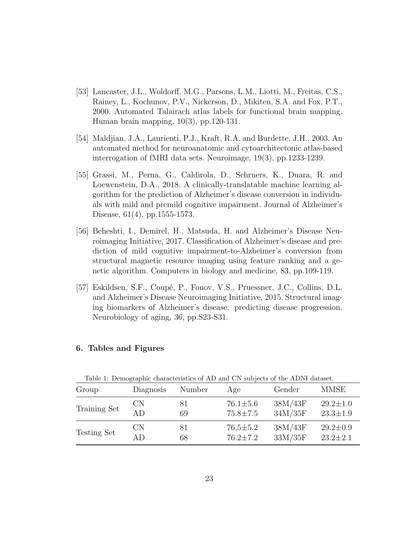- [53] Lancaster, J.L., Woldorff, M.G., Parsons, L.M., Liotti, M., Freitas, C.S., Rainey, L., Kochunov, P.V., Nickerson, D., Mikiten, S.A. and Fox, P.T., 2000. Automated Talairach atlas labels for functional brain mapping. Human brain mapping, 10(3), pp.120-131.
- [54] Maldjian, J.A., Laurienti, P.J., Kraft, R.A. and Burdette, J.H., 2003. An automated method for neuroanatomic and cytoarchitectonic atlas-based interrogation of fMRI data sets. Neuroimage, 19(3), pp.1233-1239.
- [55] Grassi, M., Perna, G., Caldirola, D., Schruers, K., Duara, R. and Loewenstein, D.A., 2018. A clinically-translatable machine learning algorithm for the prediction of Alzheimer's disease conversion in individuals with mild and premild cognitive impairment. Journal of Alzheimer's Disease, 61(4), pp.1555-1573.
- [56] Beheshti, I., Demirel, H., Matsuda, H. and Alzheimer's Disease Neuroimaging Initiative, 2017. Classification of Alzheimer's disease and prediction of mild cognitive impairment-to-Alzheimer's conversion from structural magnetic resource imaging using feature ranking and a genetic algorithm. Computers in biology and medicine, 83, pp.109-119.
- [57] Eskildsen, S.F., Coupé, P., Fonov, V.S., Pruessner, J.C., Collins, D.L. and Alzheimer's Disease Neuroimaging Initiative, 2015. Structural imaging biomarkers of Alzheimer's disease: predicting disease progression. Neurobiology of aging, 36, pp.S23-S31.

# 6. Tables and Figures

| Group        | Diagnosis | Number | Age            | Gender  | MMSE           |
|--------------|-----------|--------|----------------|---------|----------------|
| Training Set | CN        | 81     | $76.1 \pm 5.6$ | 38M/43F | $29.2 \pm 1.0$ |
|              | AD        | 69     | $75.8 \pm 7.5$ | 34M/35F | $23.3 \pm 1.9$ |
| Testing Set  | <b>CN</b> | 81     | $76.5 \pm 5.2$ | 38M/43F | $29.2 \pm 0.9$ |
|              | AD        | 68     | $76.2 \pm 7.2$ | 33M/35F | $23.2 \pm 2.1$ |

Table 1: Demographic characteristics of AD and CN subjects of the ADNI dataset.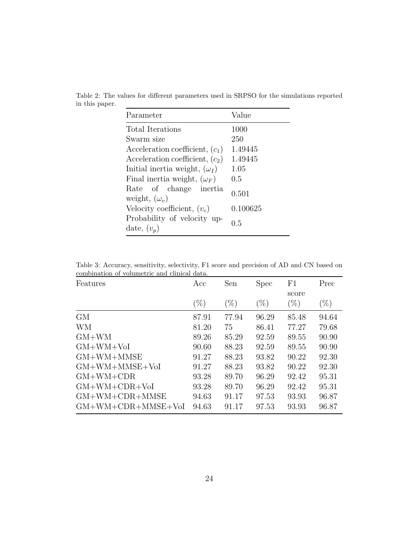Table 2: The values for different parameters used in SRPSO for the simulations reported in this paper.

| Parameter                                      | Value    |
|------------------------------------------------|----------|
| Total Iterations                               | 1000     |
| Swarm size                                     | 250      |
| Acceleration coefficient, $(c_1)$              | 1.49445  |
| Acceleration coefficient, $(c_2)$              | 1.49445  |
| Initial inertia weight, $(\omega_I)$           | 1.05     |
| Final inertia weight, $(\omega_F)$             | 0.5      |
| Rate of change inertia<br>weight, $(\omega_v)$ | 0.501    |
| Velocity coefficient, $(v_c)$                  | 0.100625 |
| Probability of velocity up-<br>date, $(v_p)$   | 0.5      |

Table 3: Accuracy, sensitivity, selectivity, F1 score and precision of AD and CN based on combination of volumetric and clinical data.

| Features             | Acc    | Sen    | <b>Spec</b> | F1     | Prec   |
|----------------------|--------|--------|-------------|--------|--------|
|                      |        |        |             | score  |        |
|                      | $(\%)$ | $(\%)$ | $(\%)$      | $(\%)$ | $(\%)$ |
| <b>GM</b>            | 87.91  | 77.94  | 96.29       | 85.48  | 94.64  |
| WM                   | 81.20  | 75     | 86.41       | 77.27  | 79.68  |
| $GM+WM$              | 89.26  | 85.29  | 92.59       | 89.55  | 90.90  |
| $GM+WM+Vol$          | 90.60  | 88.23  | 92.59       | 89.55  | 90.90  |
| $GM+WM+MMSE$         | 91.27  | 88.23  | 93.82       | 90.22  | 92.30  |
| $GM+WM+MMSE+Vol$     | 91.27  | 88.23  | 93.82       | 90.22  | 92.30  |
| $GM+WM+CDR$          | 93.28  | 89.70  | 96.29       | 92.42  | 95.31  |
| $GM+WM+CDR+Vol$      | 93.28  | 89.70  | 96.29       | 92.42  | 95.31  |
| $GM+WM+CDR+MMSE$     | 94.63  | 91.17  | 97.53       | 93.93  | 96.87  |
| $GM+WM+CDR+MMSE+Vol$ | 94.63  | 91.17  | 97.53       | 93.93  | 96.87  |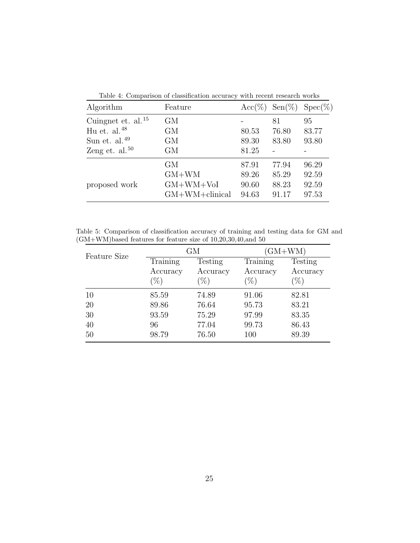| Algorithm                | Feature          |       |       | $Acc(\%)$ Sen $(\%)$ Spec $(\%)$ |
|--------------------------|------------------|-------|-------|----------------------------------|
| Cuingnet et. al. $^{15}$ | GМ               |       | 81    | 95                               |
| Hu et. al. $^{48}$       | GМ               | 80.53 | 76.80 | 83.77                            |
| Sun et. al. $49$         | GM               | 89.30 | 83.80 | 93.80                            |
| Zeng et. al. $50$        | GМ               | 81.25 |       |                                  |
|                          | GМ               | 87.91 | 77.94 | 96.29                            |
|                          | $GM+WM$          | 89.26 | 85.29 | 92.59                            |
| proposed work            | $GM+WM+Vol$      | 90.60 | 88.23 | 92.59                            |
|                          | $GM+WM+clinical$ | 94.63 | 91.17 | 97.53                            |

Table 4: Comparison of classification accuracy with recent research works

Table 5: Comparison of classification accuracy of training and testing data for GM and (GM+WM)based features for feature size of 10,20,30,40,and 50

| <b>Feature Size</b> | GМ       |          | $(GM+WM)$ |          |
|---------------------|----------|----------|-----------|----------|
|                     | Training | Testing  | Training  | Testing  |
|                     | Accuracy | Accuracy | Accuracy  | Accuracy |
|                     | $(\%)$   | $(\%)$   | $(\%)$    | $(\%)$   |
| 10                  | 85.59    | 74.89    | 91.06     | 82.81    |
| 20                  | 89.86    | 76.64    | 95.73     | 83.21    |
| 30                  | 93.59    | 75.29    | 97.99     | 83.35    |
| 40                  | 96       | 77.04    | 99.73     | 86.43    |
| 50                  | 98.79    | 76.50    | 100       | 89.39    |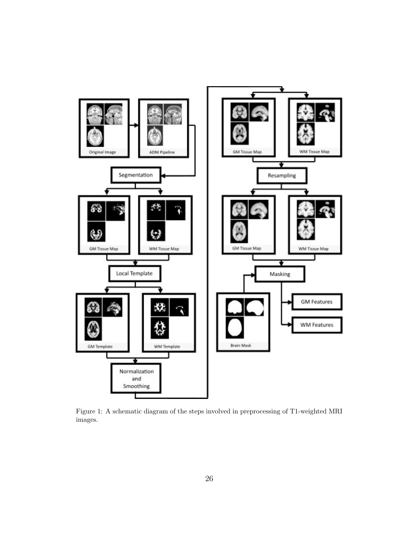

Figure 1: A schematic diagram of the steps involved in preprocessing of T1-weighted MRI images.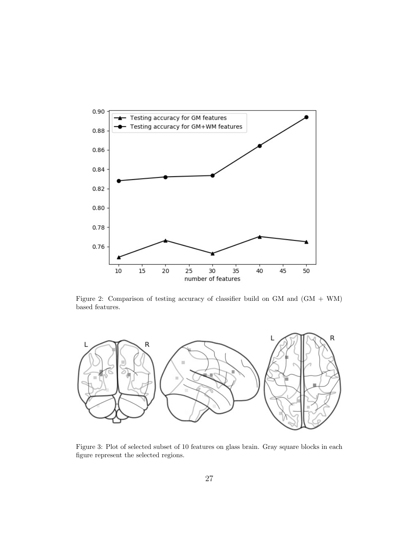

Figure 2: Comparison of testing accuracy of classifier build on GM and (GM + WM) based features.



Figure 3: Plot of selected subset of 10 features on glass brain. Gray square blocks in each figure represent the selected regions.